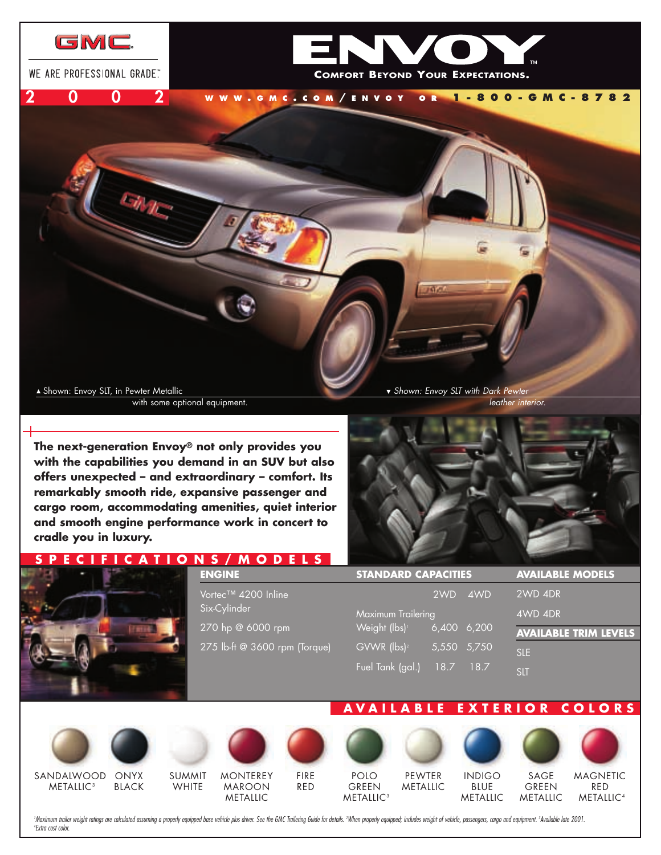

**The next-generation Envoy® not only provides you with the capabilities you demand in an SUV but also offers unexpected – and extraordinary – comfort. Its remarkably smooth ride, expansive passenger and cargo room, accommodating amenities, quiet interior and smooth engine performance work in concert to cradle you in luxury.**

# **PECIFICATI**



| N 3 / M U U E L 3              |                            |                 |                         |                              |
|--------------------------------|----------------------------|-----------------|-------------------------|------------------------------|
| <b>ENGINE</b>                  | <b>STANDARD CAPACITIES</b> |                 | <b>AVAILABLE MODELS</b> |                              |
| Vortec™ 4200 Inline            |                            | 2WD             | 4WD                     | 2WD 4DR                      |
| Six-Cylinder                   | Maximum Trailering         |                 |                         | 4WD 4DR                      |
| 270 hp @ 6000 rpm              | Weight (lbs) <sup>1</sup>  | $6,400$ $6,200$ |                         | <b>AVAILABLE TRIM LEVELS</b> |
| 275 lb-ft @ 3600 rpm (Torque), | GVWR (lbs) <sup>2</sup>    | 5,550 5,750     |                         | <b>SLE</b>                   |
|                                | Fuel Tank (gal.)           | 18.7            | 18.7                    | <b>SLT</b>                   |

# **AVA ILABLE EX TER IOR COLORS**

METALLIC

SANDALWOOD **METALLIC<sup>3</sup>** 



BLACK

SUMMIT **WHITE** 

**MONTEREY** MAROON METALLIC



**METALLIC<sup>3</sup>** 

PEWTER METALLIC





SAGE GREEN METALLIC

**MAGNETIC** RED METALLIC<sup>4</sup>

'Maximum trailer weight ratings are calculated assuming a properly equipped base vehicle plus driver. See the GMC Trailering Guide for details. ?When properly equipped; includes weight of vehicle, passengers, cargo and equ *Extra cost color.* 

FIRE RED